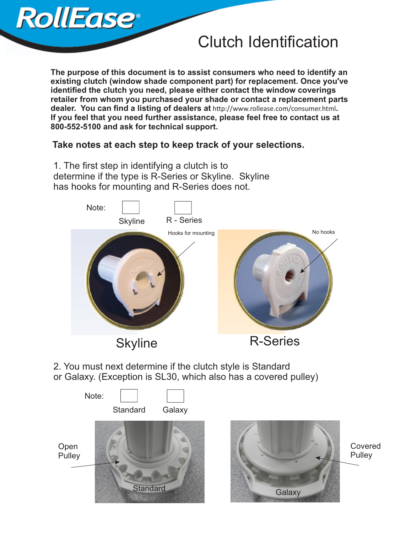## Clutch Identification

**The purpose of this document is to assist consumers who need to identify an existing clutch (window shade component part) for replacement. Once you've identified the clutch you need, please either contact the window coverings retailer from whom you purchased your shade or contact a replacement parts dealer. You can find a listing of dealers at http://www.rollease.com/consumer.html. If you feel that you need further assistance, please feel free to contact us at 800-552-5100 and ask for technical support.**

## **Take notes at each step to keep track of your selections.**

1. The first step in identifying a clutch is to determine if the type is R-Series or Skyline. Skyline has hooks for mounting and R-Series does not.

**RollEase**<sup>®</sup>



2. You must next determine if the clutch style is Standard or Galaxy. (Exception is SL30, which also has a covered pulley)





Covered **Pulley**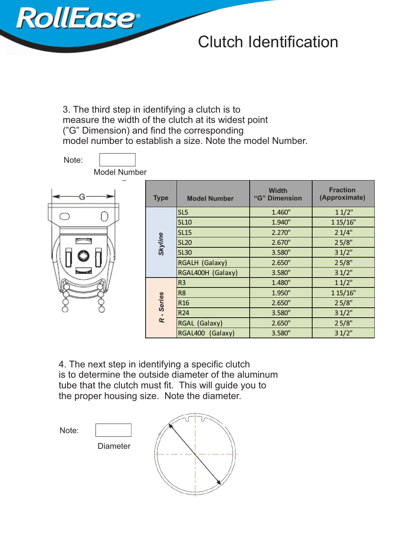

## Clutch Identification

3. The third step in identifying a clutch is to measure the width of the clutch at its widest point ("G" Dimension) and find the corresponding model number to establish a size. Note the model Number.

| Note:<br><b>Model Number</b> |             |                     |                               |                                  |
|------------------------------|-------------|---------------------|-------------------------------|----------------------------------|
|                              |             |                     |                               |                                  |
|                              | <b>Type</b> | <b>Model Number</b> | <b>Width</b><br>"G" Dimension | <b>Fraction</b><br>(Approximate) |
| <b>Statement</b>             | Skyline     | SL <sub>5</sub>     | 1.460"                        | 11/2"                            |
|                              |             | <b>SL10</b>         | 1.940"                        | 1 15/16"                         |
|                              |             | <b>SL15</b>         | 2.270"                        | 21/4"                            |
|                              |             | <b>SL20</b>         | 2.670"                        | 25/8"                            |
|                              |             | <b>SL30</b>         | 3.580"                        | 31/2"                            |
|                              |             | RGALH (Galaxy)      | 2.650"                        | 25/8"                            |
|                              |             | RGAL400H (Galaxy)   | 3.580"                        | 31/2"                            |
|                              | R - Series  | R <sub>3</sub>      | 1.480"                        | 11/2"                            |
|                              |             | R <sub>8</sub>      | 1.950"                        | 1 15/16"                         |
|                              |             | R <sub>16</sub>     | 2.650"                        | 25/8"                            |
|                              |             | <b>R24</b>          | 3.580"                        | 31/2"                            |
|                              |             | RGAL (Galaxy)       | 2.650"                        | 25/8"                            |
|                              |             | RGAL400 (Galaxy)    | 3.580"                        | 31/2"                            |

4. The next step in identifying a specific clutch is to determine the outside diameter of the aluminum tube that the clutch must fit. This will guide you to the proper housing size. Note the diameter.